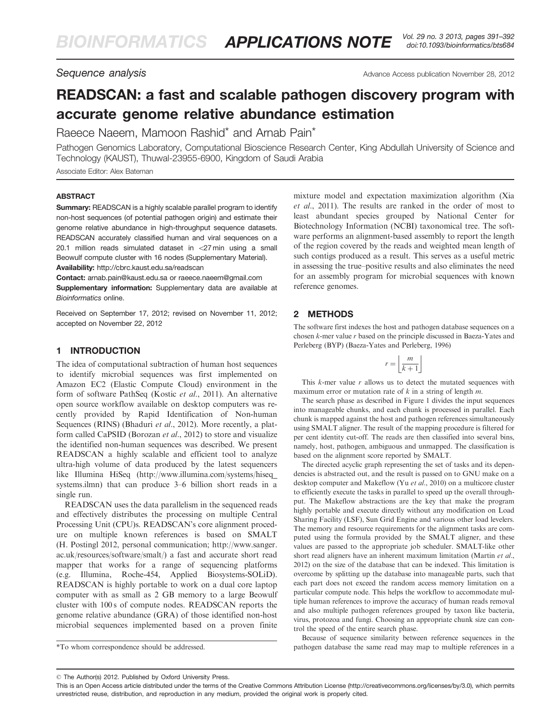# READSCAN: a fast and scalable pathogen discovery program with accurate genome relative abundance estimation

Raeece Naeem, Mamoon Rashid\* and Arnab Pain\*

Pathogen Genomics Laboratory, Computational Bioscience Research Center, King Abdullah University of Science and Technology (KAUST), Thuwal-23955-6900, Kingdom of Saudi Arabia

Associate Editor: Alex Bateman

#### **ABSTRACT**

Summary: READSCAN is a highly scalable parallel program to identify non-host sequences (of potential pathogen origin) and estimate their genome relative abundance in high-throughput sequence datasets. READSCAN accurately classified human and viral sequences on a 20.1 million reads simulated dataset in  $<$ 27 min using a small Beowulf compute cluster with 16 nodes (Supplementary Material). Availability: <http://cbrc.kaust.edu.sa/readscan>

Contact: arnab.pain@kaust.edu.sa or raeece.naeem@gmail.com Supplementary information: [Supplementary data](http://bioinformatics.oxfordjournals.org/cgi/content/full/bts684/DC1) are available at Bioinformatics online.

Received on September 17, 2012; revised on November 11, 2012; accepted on November 22, 2012

#### 1 INTRODUCTION

The idea of computational subtraction of human host sequences to identify microbial sequences was first implemented on Amazon EC2 (Elastic Compute Cloud) environment in the form of software PathSeq (Kostic et al[., 2011](#page-1-0)). An alternative open source workflow available on desktop computers was recently provided by Rapid Identification of Non-human Sequences (RINS) [\(Bhaduri](#page-1-0) et al., 2012). More recently, a platform called CaPSID ([Borozan](#page-1-0) et al., 2012) to store and visualize the identified non-human sequences was described. We present READSCAN a highly scalable and efficient tool to analyze ultra-high volume of data produced by the latest sequencers like Illumina HiSeq ([http://www.illumina.com/systems/hiseq\\_](http://www.illumina.com/systems/hiseq_systems.ilmn) [systems.ilmn](http://www.illumina.com/systems/hiseq_systems.ilmn)) that can produce 3–6 billion short reads in a single run.

READSCAN uses the data parallelism in the sequenced reads and effectively distributes the processing on multiple Central Processing Unit (CPU)s. READSCAN's core alignment procedure on multiple known references is based on SMALT (H. Postingl 2012, personal communication; [http://www.sanger.](http://www.sanger.ac.uk/resources/software/smalt/) [ac.uk/resources/software/smalt/\)](http://www.sanger.ac.uk/resources/software/smalt/) a fast and accurate short read mapper that works for a range of sequencing platforms (e.g. Illumina, Roche-454, Applied Biosystems-SOLiD). READSCAN is highly portable to work on a dual core laptop computer with as small as 2 GB memory to a large Beowulf cluster with 100 s of compute nodes. READSCAN reports the genome relative abundance (GRA) of those identified non-host microbial sequences implemented based on a proven finite

mixture model and expectation maximization algorithm [\(Xia](#page-1-0) et al[., 2011](#page-1-0)). The results are ranked in the order of most to least abundant species grouped by National Center for Biotechnology Information (NCBI) taxonomical tree. The software performs an alignment-based assembly to report the length of the region covered by the reads and weighted mean length of such contigs produced as a result. This serves as a useful metric in assessing the true–positive results and also eliminates the need for an assembly program for microbial sequences with known reference genomes.

# 2 METHODS

The software first indexes the host and pathogen database sequences on a chosen k-mer value r based on the principle discussed in Baeza-Yates and Perleberg (BYP) ([Baeza-Yates and Perleberg, 1996\)](#page-1-0)

$$
r = \left\lfloor \frac{m}{k+1} \right\rfloor
$$

This  $k$ -mer value  $r$  allows us to detect the mutated sequences with maximum error or mutation rate of  $k$  in a string of length  $m$ .

The search phase as described in [Figure 1](#page-1-0) divides the input sequences into manageable chunks, and each chunk is processed in parallel. Each chunk is mapped against the host and pathogen references simultaneously using SMALT aligner. The result of the mapping procedure is filtered for per cent identity cut-off. The reads are then classified into several bins, namely, host, pathogen, ambiguous and unmapped. The classification is based on the alignment score reported by SMALT.

The directed acyclic graph representing the set of tasks and its dependencies is abstracted out, and the result is passed on to GNU make on a desktop computer and Makeflow (Yu et al[., 2010](#page-1-0)) on a multicore cluster to efficiently execute the tasks in parallel to speed up the overall throughput. The Makeflow abstractions are the key that make the program highly portable and execute directly without any modification on Load Sharing Facility (LSF), Sun Grid Engine and various other load levelers. The memory and resource requirements for the alignment tasks are computed using the formula provided by the SMALT aligner, and these values are passed to the appropriate job scheduler. SMALT-like other short read aligners have an inherent maximum limitation [\(Martin](#page-1-0) et al., [2012](#page-1-0)) on the size of the database that can be indexed. This limitation is overcome by splitting up the database into manageable parts, such that each part does not exceed the random access memory limitation on a particular compute node. This helps the workflow to accommodate multiple human references to improve the accuracy of human reads removal and also multiple pathogen references grouped by taxon like bacteria, virus, protozoa and fungi. Choosing an appropriate chunk size can control the speed of the entire search phase.

Because of sequence similarity between reference sequences in the \*To whom correspondence should be addressed. pathogen database the same read may map to multiple references in a

<sup>-</sup> The Author(s) 2012. Published by Oxford University Press.

This is an Open Access article distributed under the terms of the Creative Commons Attribution License (http://creativecommons.org/licenses/by/3.0), which permits unrestricted reuse, distribution, and reproduction in any medium, provided the original work is properly cited.